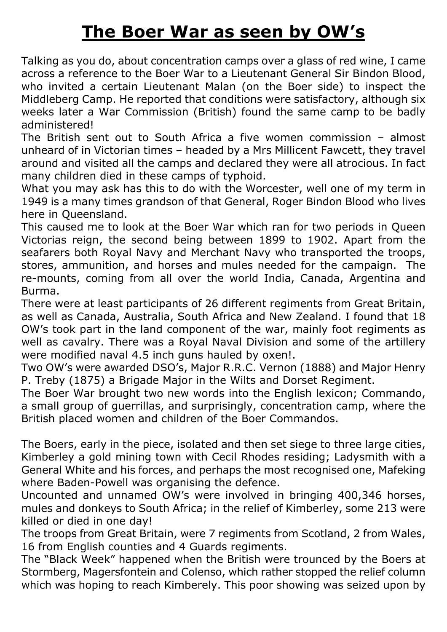## **The Boer War as seen by OW's**

Talking as you do, about concentration camps over a glass of red wine, I came across a reference to the Boer War to a Lieutenant General Sir Bindon Blood, who invited a certain Lieutenant Malan (on the Boer side) to inspect the Middleberg Camp. He reported that conditions were satisfactory, although six weeks later a War Commission (British) found the same camp to be badly administered!

The British sent out to South Africa a five women commission – almost unheard of in Victorian times – headed by a Mrs Millicent Fawcett, they travel around and visited all the camps and declared they were all atrocious. In fact many children died in these camps of typhoid.

What you may ask has this to do with the Worcester, well one of my term in 1949 is a many times grandson of that General, Roger Bindon Blood who lives here in Queensland.

This caused me to look at the Boer War which ran for two periods in Queen Victorias reign, the second being between 1899 to 1902. Apart from the seafarers both Royal Navy and Merchant Navy who transported the troops, stores, ammunition, and horses and mules needed for the campaign. The re-mounts, coming from all over the world India, Canada, Argentina and Burma.

There were at least participants of 26 different regiments from Great Britain, as well as Canada, Australia, South Africa and New Zealand. I found that 18 OW's took part in the land component of the war, mainly foot regiments as well as cavalry. There was a Royal Naval Division and some of the artillery were modified naval 4.5 inch guns hauled by oxen!.

Two OW's were awarded DSO's, Major R.R.C. Vernon (1888) and Major Henry P. Treby (1875) a Brigade Major in the Wilts and Dorset Regiment.

The Boer War brought two new words into the English lexicon; Commando, a small group of guerrillas, and surprisingly, concentration camp, where the British placed women and children of the Boer Commandos.

The Boers, early in the piece, isolated and then set siege to three large cities, Kimberley a gold mining town with Cecil Rhodes residing; Ladysmith with a General White and his forces, and perhaps the most recognised one, Mafeking where Baden-Powell was organising the defence.

Uncounted and unnamed OW's were involved in bringing 400,346 horses, mules and donkeys to South Africa; in the relief of Kimberley, some 213 were killed or died in one day!

The troops from Great Britain, were 7 regiments from Scotland, 2 from Wales, 16 from English counties and 4 Guards regiments.

The "Black Week" happened when the British were trounced by the Boers at Stormberg, Magersfontein and Colenso, which rather stopped the relief column which was hoping to reach Kimberely. This poor showing was seized upon by